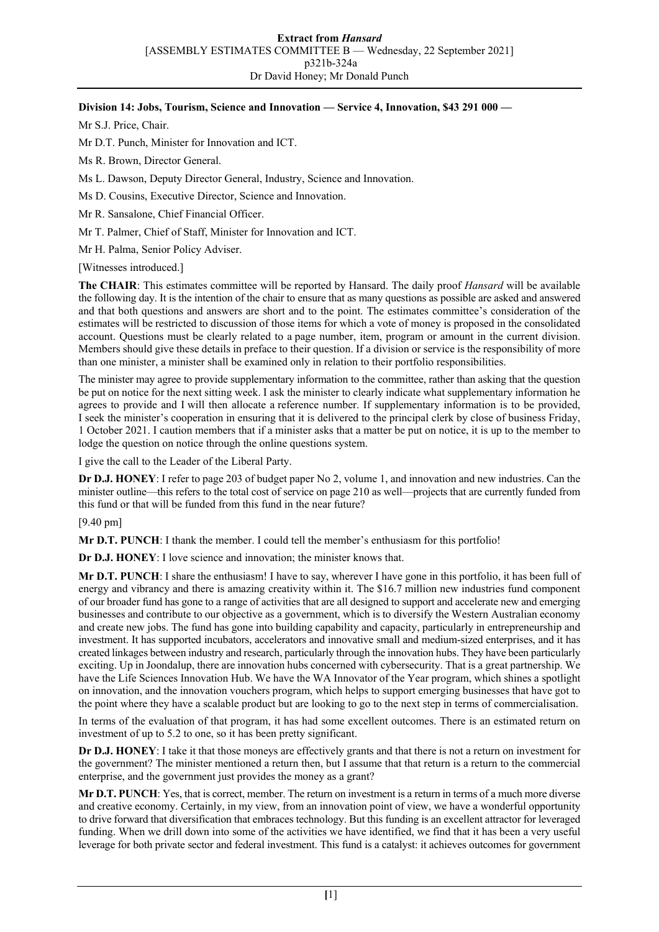## **Division 14: Jobs, Tourism, Science and Innovation — Service 4, Innovation, \$43 291 000 —**

Mr S.J. Price, Chair.

Mr D.T. Punch, Minister for Innovation and ICT.

Ms R. Brown, Director General.

Ms L. Dawson, Deputy Director General, Industry, Science and Innovation.

Ms D. Cousins, Executive Director, Science and Innovation.

Mr R. Sansalone, Chief Financial Officer.

Mr T. Palmer, Chief of Staff, Minister for Innovation and ICT.

Mr H. Palma, Senior Policy Adviser.

[Witnesses introduced.]

**The CHAIR**: This estimates committee will be reported by Hansard. The daily proof *Hansard* will be available the following day. It is the intention of the chair to ensure that as many questions as possible are asked and answered and that both questions and answers are short and to the point. The estimates committee's consideration of the estimates will be restricted to discussion of those items for which a vote of money is proposed in the consolidated account. Questions must be clearly related to a page number, item, program or amount in the current division. Members should give these details in preface to their question. If a division or service is the responsibility of more than one minister, a minister shall be examined only in relation to their portfolio responsibilities.

The minister may agree to provide supplementary information to the committee, rather than asking that the question be put on notice for the next sitting week. I ask the minister to clearly indicate what supplementary information he agrees to provide and I will then allocate a reference number. If supplementary information is to be provided, I seek the minister's cooperation in ensuring that it is delivered to the principal clerk by close of business Friday, 1 October 2021. I caution members that if a minister asks that a matter be put on notice, it is up to the member to lodge the question on notice through the online questions system.

I give the call to the Leader of the Liberal Party.

**Dr D.J. HONEY**: I refer to page 203 of budget paper No 2, volume 1, and innovation and new industries. Can the minister outline—this refers to the total cost of service on page 210 as well—projects that are currently funded from this fund or that will be funded from this fund in the near future?

## [9.40 pm]

**Mr D.T. PUNCH**: I thank the member. I could tell the member's enthusiasm for this portfolio!

**Dr D.J. HONEY**: I love science and innovation; the minister knows that.

**Mr D.T. PUNCH**: I share the enthusiasm! I have to say, wherever I have gone in this portfolio, it has been full of energy and vibrancy and there is amazing creativity within it. The \$16.7 million new industries fund component of our broader fund has gone to a range of activities that are all designed to support and accelerate new and emerging businesses and contribute to our objective as a government, which is to diversify the Western Australian economy and create new jobs. The fund has gone into building capability and capacity, particularly in entrepreneurship and investment. It has supported incubators, accelerators and innovative small and medium-sized enterprises, and it has created linkages between industry and research, particularly through the innovation hubs. They have been particularly exciting. Up in Joondalup, there are innovation hubs concerned with cybersecurity. That is a great partnership. We have the Life Sciences Innovation Hub. We have the WA Innovator of the Year program, which shines a spotlight on innovation, and the innovation vouchers program, which helps to support emerging businesses that have got to the point where they have a scalable product but are looking to go to the next step in terms of commercialisation.

In terms of the evaluation of that program, it has had some excellent outcomes. There is an estimated return on investment of up to 5.2 to one, so it has been pretty significant.

**Dr D.J. HONEY**: I take it that those moneys are effectively grants and that there is not a return on investment for the government? The minister mentioned a return then, but I assume that that return is a return to the commercial enterprise, and the government just provides the money as a grant?

**Mr D.T. PUNCH**: Yes, that is correct, member. The return on investment is a return in terms of a much more diverse and creative economy. Certainly, in my view, from an innovation point of view, we have a wonderful opportunity to drive forward that diversification that embraces technology. But this funding is an excellent attractor for leveraged funding. When we drill down into some of the activities we have identified, we find that it has been a very useful leverage for both private sector and federal investment. This fund is a catalyst: it achieves outcomes for government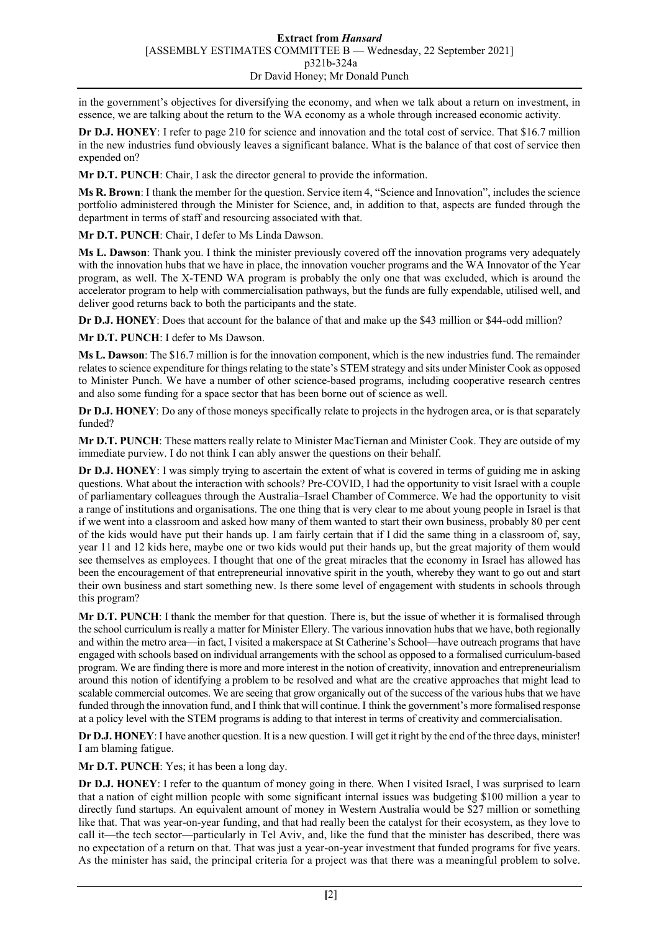in the government's objectives for diversifying the economy, and when we talk about a return on investment, in essence, we are talking about the return to the WA economy as a whole through increased economic activity.

**Dr D.J. HONEY**: I refer to page 210 for science and innovation and the total cost of service. That \$16.7 million in the new industries fund obviously leaves a significant balance. What is the balance of that cost of service then expended on?

**Mr D.T. PUNCH**: Chair, I ask the director general to provide the information.

**Ms R. Brown**: I thank the member for the question. Service item 4, "Science and Innovation", includes the science portfolio administered through the Minister for Science, and, in addition to that, aspects are funded through the department in terms of staff and resourcing associated with that.

**Mr D.T. PUNCH**: Chair, I defer to Ms Linda Dawson.

**Ms L. Dawson**: Thank you. I think the minister previously covered off the innovation programs very adequately with the innovation hubs that we have in place, the innovation voucher programs and the WA Innovator of the Year program, as well. The X-TEND WA program is probably the only one that was excluded, which is around the accelerator program to help with commercialisation pathways, but the funds are fully expendable, utilised well, and deliver good returns back to both the participants and the state.

**Dr D.J. HONEY**: Does that account for the balance of that and make up the \$43 million or \$44-odd million?

**Mr D.T. PUNCH**: I defer to Ms Dawson.

**Ms L. Dawson**: The \$16.7 million is for the innovation component, which is the new industries fund. The remainder relates to science expenditure for things relating to the state's STEM strategy and sits under Minister Cook as opposed to Minister Punch. We have a number of other science-based programs, including cooperative research centres and also some funding for a space sector that has been borne out of science as well.

**Dr D.J. HONEY**: Do any of those moneys specifically relate to projects in the hydrogen area, or is that separately funded?

**Mr D.T. PUNCH**: These matters really relate to Minister MacTiernan and Minister Cook. They are outside of my immediate purview. I do not think I can ably answer the questions on their behalf.

**Dr D.J. HONEY**: I was simply trying to ascertain the extent of what is covered in terms of guiding me in asking questions. What about the interaction with schools? Pre-COVID, I had the opportunity to visit Israel with a couple of parliamentary colleagues through the Australia–Israel Chamber of Commerce. We had the opportunity to visit a range of institutions and organisations. The one thing that is very clear to me about young people in Israel is that if we went into a classroom and asked how many of them wanted to start their own business, probably 80 per cent of the kids would have put their hands up. I am fairly certain that if I did the same thing in a classroom of, say, year 11 and 12 kids here, maybe one or two kids would put their hands up, but the great majority of them would see themselves as employees. I thought that one of the great miracles that the economy in Israel has allowed has been the encouragement of that entrepreneurial innovative spirit in the youth, whereby they want to go out and start their own business and start something new. Is there some level of engagement with students in schools through this program?

**Mr D.T. PUNCH**: I thank the member for that question. There is, but the issue of whether it is formalised through the school curriculum is really a matter for Minister Ellery. The various innovation hubs that we have, both regionally and within the metro area—in fact, I visited a makerspace at St Catherine's School—have outreach programs that have engaged with schools based on individual arrangements with the school as opposed to a formalised curriculum-based program. We are finding there is more and more interest in the notion of creativity, innovation and entrepreneurialism around this notion of identifying a problem to be resolved and what are the creative approaches that might lead to scalable commercial outcomes. We are seeing that grow organically out of the success of the various hubs that we have funded through the innovation fund, and I think that will continue. I think the government's more formalised response at a policy level with the STEM programs is adding to that interest in terms of creativity and commercialisation.

**Dr D.J. HONEY**: I have another question. It is a new question. I will get it right by the end of the three days, minister! I am blaming fatigue.

**Mr D.T. PUNCH**: Yes; it has been a long day.

**Dr D.J. HONEY**: I refer to the quantum of money going in there. When I visited Israel, I was surprised to learn that a nation of eight million people with some significant internal issues was budgeting \$100 million a year to directly fund startups. An equivalent amount of money in Western Australia would be \$27 million or something like that. That was year-on-year funding, and that had really been the catalyst for their ecosystem, as they love to call it—the tech sector—particularly in Tel Aviv, and, like the fund that the minister has described, there was no expectation of a return on that. That was just a year-on-year investment that funded programs for five years. As the minister has said, the principal criteria for a project was that there was a meaningful problem to solve.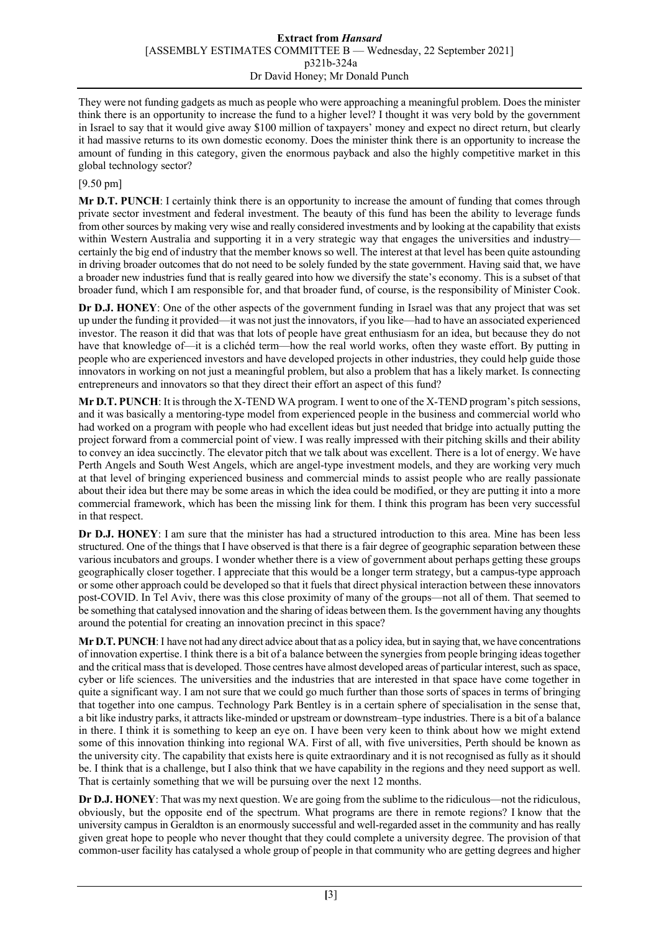## **Extract from** *Hansard* [ASSEMBLY ESTIMATES COMMITTEE B — Wednesday, 22 September 2021] p321b-324a Dr David Honey; Mr Donald Punch

They were not funding gadgets as much as people who were approaching a meaningful problem. Does the minister think there is an opportunity to increase the fund to a higher level? I thought it was very bold by the government in Israel to say that it would give away \$100 million of taxpayers' money and expect no direct return, but clearly it had massive returns to its own domestic economy. Does the minister think there is an opportunity to increase the amount of funding in this category, given the enormous payback and also the highly competitive market in this global technology sector?

## [9.50 pm]

**Mr D.T. PUNCH**: I certainly think there is an opportunity to increase the amount of funding that comes through private sector investment and federal investment. The beauty of this fund has been the ability to leverage funds from other sources by making very wise and really considered investments and by looking at the capability that exists within Western Australia and supporting it in a very strategic way that engages the universities and industry certainly the big end of industry that the member knows so well. The interest at that level has been quite astounding in driving broader outcomes that do not need to be solely funded by the state government. Having said that, we have a broader new industries fund that is really geared into how we diversify the state's economy. This is a subset of that broader fund, which I am responsible for, and that broader fund, of course, is the responsibility of Minister Cook.

**Dr D.J. HONEY**: One of the other aspects of the government funding in Israel was that any project that was set up under the funding it provided—it was not just the innovators, if you like—had to have an associated experienced investor. The reason it did that was that lots of people have great enthusiasm for an idea, but because they do not have that knowledge of—it is a clichéd term—how the real world works, often they waste effort. By putting in people who are experienced investors and have developed projects in other industries, they could help guide those innovators in working on not just a meaningful problem, but also a problem that has a likely market. Is connecting entrepreneurs and innovators so that they direct their effort an aspect of this fund?

**Mr D.T. PUNCH**: It is through the X-TEND WA program. I went to one of the X-TEND program's pitch sessions, and it was basically a mentoring-type model from experienced people in the business and commercial world who had worked on a program with people who had excellent ideas but just needed that bridge into actually putting the project forward from a commercial point of view. I was really impressed with their pitching skills and their ability to convey an idea succinctly. The elevator pitch that we talk about was excellent. There is a lot of energy. We have Perth Angels and South West Angels, which are angel-type investment models, and they are working very much at that level of bringing experienced business and commercial minds to assist people who are really passionate about their idea but there may be some areas in which the idea could be modified, or they are putting it into a more commercial framework, which has been the missing link for them. I think this program has been very successful in that respect.

**Dr D.J. HONEY**: I am sure that the minister has had a structured introduction to this area. Mine has been less structured. One of the things that I have observed is that there is a fair degree of geographic separation between these various incubators and groups. I wonder whether there is a view of government about perhaps getting these groups geographically closer together. I appreciate that this would be a longer term strategy, but a campus-type approach or some other approach could be developed so that it fuels that direct physical interaction between these innovators post-COVID. In Tel Aviv, there was this close proximity of many of the groups—not all of them. That seemed to be something that catalysed innovation and the sharing of ideas between them. Is the government having any thoughts around the potential for creating an innovation precinct in this space?

**Mr D.T. PUNCH**:I have not had any direct advice about that as a policy idea, but in saying that, we have concentrations of innovation expertise. I think there is a bit of a balance between the synergies from people bringing ideas together and the critical mass that is developed. Those centres have almost developed areas of particular interest, such as space, cyber or life sciences. The universities and the industries that are interested in that space have come together in quite a significant way. I am not sure that we could go much further than those sorts of spaces in terms of bringing that together into one campus. Technology Park Bentley is in a certain sphere of specialisation in the sense that, a bit like industry parks, it attracts like-minded or upstream or downstream–type industries. There is a bit of a balance in there. I think it is something to keep an eye on. I have been very keen to think about how we might extend some of this innovation thinking into regional WA. First of all, with five universities, Perth should be known as the university city. The capability that exists here is quite extraordinary and it is not recognised as fully as it should be. I think that is a challenge, but I also think that we have capability in the regions and they need support as well. That is certainly something that we will be pursuing over the next 12 months.

**Dr D.J. HONEY**: That was my next question. We are going from the sublime to the ridiculous—not the ridiculous, obviously, but the opposite end of the spectrum. What programs are there in remote regions? I know that the university campus in Geraldton is an enormously successful and well-regarded asset in the community and has really given great hope to people who never thought that they could complete a university degree. The provision of that common-user facility has catalysed a whole group of people in that community who are getting degrees and higher